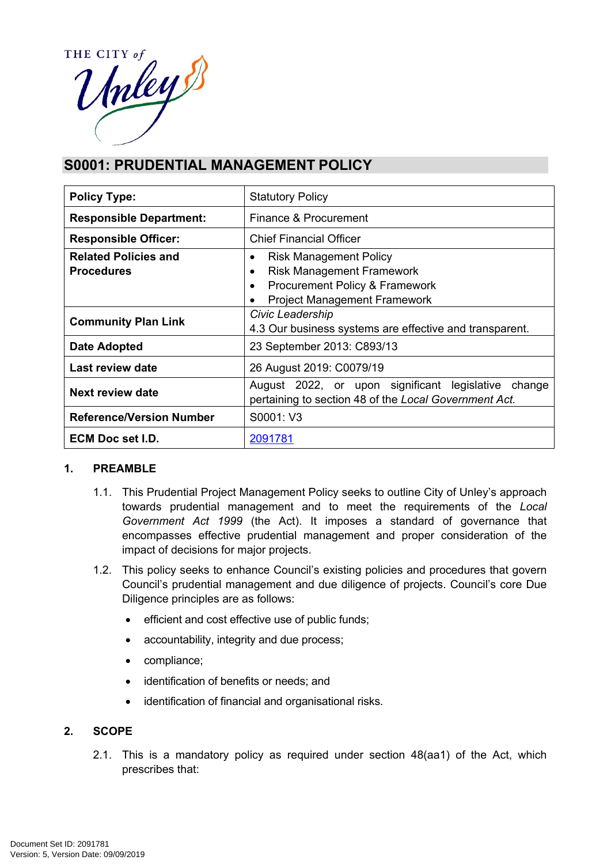

# **S0001: PRUDENTIAL MANAGEMENT POLICY**

| <b>Policy Type:</b>                              | <b>Statutory Policy</b>                                                                                                                                      |  |
|--------------------------------------------------|--------------------------------------------------------------------------------------------------------------------------------------------------------------|--|
| <b>Responsible Department:</b>                   | Finance & Procurement                                                                                                                                        |  |
| <b>Responsible Officer:</b>                      | <b>Chief Financial Officer</b>                                                                                                                               |  |
| <b>Related Policies and</b><br><b>Procedures</b> | <b>Risk Management Policy</b><br>٠<br><b>Risk Management Framework</b><br>Procurement Policy & Framework<br>$\bullet$<br><b>Project Management Framework</b> |  |
| <b>Community Plan Link</b>                       | Civic Leadership<br>4.3 Our business systems are effective and transparent.                                                                                  |  |
| <b>Date Adopted</b>                              | 23 September 2013: C893/13                                                                                                                                   |  |
| Last review date                                 | 26 August 2019: C0079/19                                                                                                                                     |  |
| Next review date                                 | August 2022, or upon significant legislative<br>change<br>pertaining to section 48 of the Local Government Act.                                              |  |
| <b>Reference/Version Number</b>                  | S0001: V3                                                                                                                                                    |  |
| ECM Doc set I.D.                                 | 2091781                                                                                                                                                      |  |

### **1. PREAMBLE**

- 1.1. This Prudential Project Management Policy seeks to outline City of Unley's approach towards prudential management and to meet the requirements of the *Local Government Act 1999* (the Act). It imposes a standard of governance that encompasses effective prudential management and proper consideration of the impact of decisions for major projects.
- 1.2. This policy seeks to enhance Council's existing policies and procedures that govern Council's prudential management and due diligence of projects. Council's core Due Diligence principles are as follows:
	- efficient and cost effective use of public funds;
	- accountability, integrity and due process;
	- compliance;
	- identification of benefits or needs; and
	- identification of financial and organisational risks.

#### **2. SCOPE**

2.1. This is a mandatory policy as required under section 48(aa1) of the Act, which prescribes that: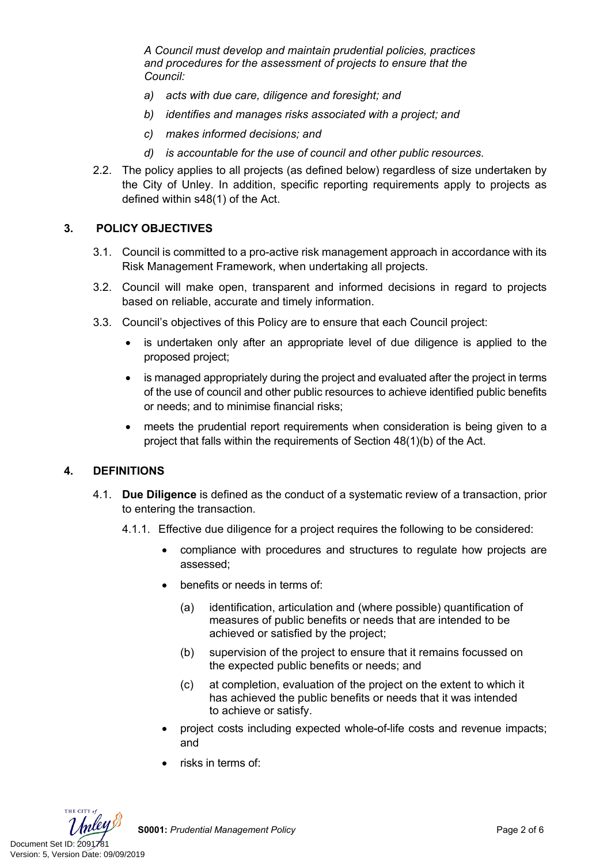*A Council must develop and maintain prudential policies, practices and procedures for the assessment of projects to ensure that the Council:*

- *a) acts with due care, diligence and foresight; and*
- *b) identifies and manages risks associated with a project; and*
- *c) makes informed decisions; and*
- *d) is accountable for the use of council and other public resources.*
- 2.2. The policy applies to all projects (as defined below) regardless of size undertaken by the City of Unley. In addition, specific reporting requirements apply to projects as defined within s48(1) of the Act.

#### **3. POLICY OBJECTIVES**

- 3.1. Council is committed to a pro-active risk management approach in accordance with its Risk Management Framework, when undertaking all projects.
- 3.2. Council will make open, transparent and informed decisions in regard to projects based on reliable, accurate and timely information.
- 3.3. Council's objectives of this Policy are to ensure that each Council project:
	- is undertaken only after an appropriate level of due diligence is applied to the proposed project;
	- is managed appropriately during the project and evaluated after the project in terms of the use of council and other public resources to achieve identified public benefits or needs; and to minimise financial risks;
	- meets the prudential report requirements when consideration is being given to a project that falls within the requirements of Section 48(1)(b) of the Act.

#### **4. DEFINITIONS**

- 4.1. **Due Diligence** is defined as the conduct of a systematic review of a transaction, prior to entering the transaction.
	- 4.1.1. Effective due diligence for a project requires the following to be considered:
		- compliance with procedures and structures to regulate how projects are assessed;
		- benefits or needs in terms of:
			- (a) identification, articulation and (where possible) quantification of measures of public benefits or needs that are intended to be achieved or satisfied by the project;
			- (b) supervision of the project to ensure that it remains focussed on the expected public benefits or needs; and
			- (c) at completion, evaluation of the project on the extent to which it has achieved the public benefits or needs that it was intended to achieve or satisfy.
		- project costs including expected whole-of-life costs and revenue impacts; and
		- risks in terms of:



**S0001:** *Prudential Management Policy* Page 2 of 6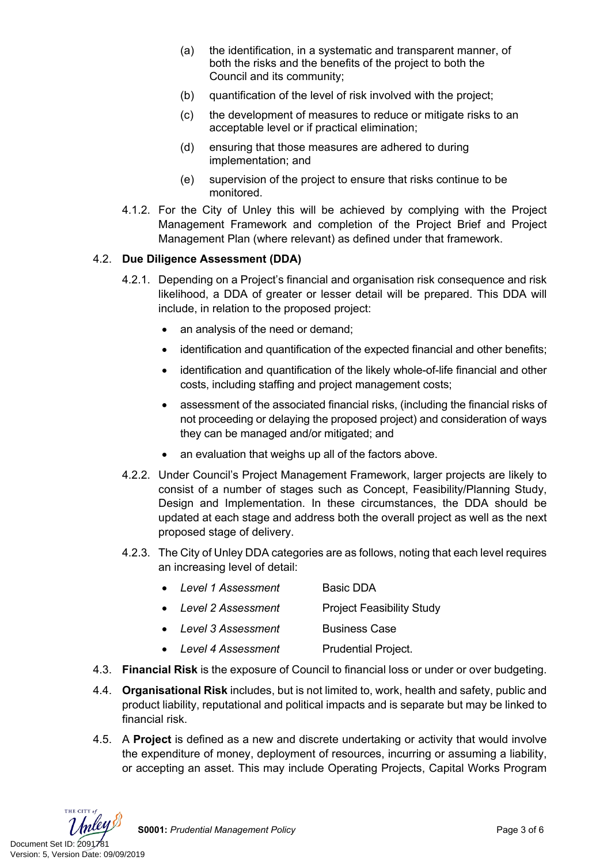- (a) the identification, in a systematic and transparent manner, of both the risks and the benefits of the project to both the Council and its community;
- (b) quantification of the level of risk involved with the project;
- (c) the development of measures to reduce or mitigate risks to an acceptable level or if practical elimination;
- (d) ensuring that those measures are adhered to during implementation; and
- (e) supervision of the project to ensure that risks continue to be monitored.
- 4.1.2. For the City of Unley this will be achieved by complying with the Project Management Framework and completion of the Project Brief and Project Management Plan (where relevant) as defined under that framework.

#### 4.2. **Due Diligence Assessment (DDA)**

- 4.2.1. Depending on a Project's financial and organisation risk consequence and risk likelihood, a DDA of greater or lesser detail will be prepared. This DDA will include, in relation to the proposed project:
	- an analysis of the need or demand;
	- identification and quantification of the expected financial and other benefits;
	- identification and quantification of the likely whole-of-life financial and other costs, including staffing and project management costs;
	- assessment of the associated financial risks, (including the financial risks of not proceeding or delaying the proposed project) and consideration of ways they can be managed and/or mitigated; and
	- an evaluation that weighs up all of the factors above.
- 4.2.2. Under Council's Project Management Framework, larger projects are likely to consist of a number of stages such as Concept, Feasibility/Planning Study, Design and Implementation. In these circumstances, the DDA should be updated at each stage and address both the overall project as well as the next proposed stage of delivery.
- 4.2.3. The City of Unley DDA categories are as follows, noting that each level requires an increasing level of detail:
	- *Level 1 Assessment* Basic DDA
	- *Level 2 Assessment* Project Feasibility Study
	- *Level 3 Assessment* Business Case
	- *Level 4 Assessment* Prudential Project.
- 4.3. **Financial Risk** is the exposure of Council to financial loss or under or over budgeting.
- 4.4. **Organisational Risk** includes, but is not limited to, work, health and safety, public and product liability, reputational and political impacts and is separate but may be linked to financial risk.
- 4.5. A **Project** is defined as a new and discrete undertaking or activity that would involve the expenditure of money, deployment of resources, incurring or assuming a liability, or accepting an asset. This may include Operating Projects, Capital Works Program

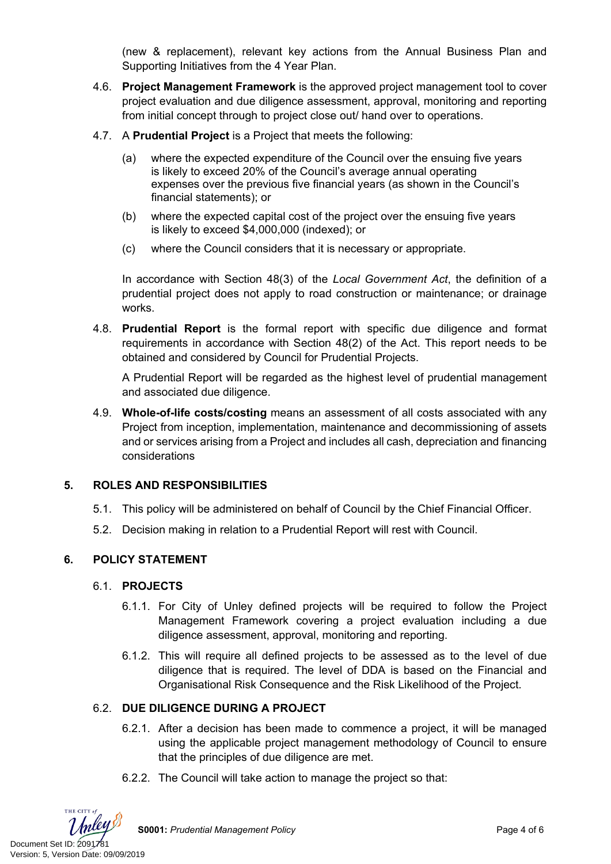(new & replacement), relevant key actions from the Annual Business Plan and Supporting Initiatives from the 4 Year Plan.

- 4.6. **Project Management Framework** is the approved project management tool to cover project evaluation and due diligence assessment, approval, monitoring and reporting from initial concept through to project close out/ hand over to operations.
- 4.7. A **Prudential Project** is a Project that meets the following:
	- (a) where the expected expenditure of the Council over the ensuing five years is likely to exceed 20% of the Council's average annual operating expenses over the previous five financial years (as shown in the Council's financial statements); or
	- (b) where the expected capital cost of the project over the ensuing five years is likely to exceed \$4,000,000 (indexed); or
	- (c) where the Council considers that it is necessary or appropriate.

In accordance with Section 48(3) of the *Local Government Act*, the definition of a prudential project does not apply to road construction or maintenance; or drainage works.

4.8. **Prudential Report** is the formal report with specific due diligence and format requirements in accordance with Section 48(2) of the Act. This report needs to be obtained and considered by Council for Prudential Projects.

A Prudential Report will be regarded as the highest level of prudential management and associated due diligence.

4.9. **Whole-of-life costs/costing** means an assessment of all costs associated with any Project from inception, implementation, maintenance and decommissioning of assets and or services arising from a Project and includes all cash, depreciation and financing considerations

### **5. ROLES AND RESPONSIBILITIES**

- 5.1. This policy will be administered on behalf of Council by the Chief Financial Officer.
- 5.2. Decision making in relation to a Prudential Report will rest with Council.

### **6. POLICY STATEMENT**

#### 6.1. **PROJECTS**

- 6.1.1. For City of Unley defined projects will be required to follow the Project Management Framework covering a project evaluation including a due diligence assessment, approval, monitoring and reporting.
- 6.1.2. This will require all defined projects to be assessed as to the level of due diligence that is required. The level of DDA is based on the Financial and Organisational Risk Consequence and the Risk Likelihood of the Project.

### 6.2. **DUE DILIGENCE DURING A PROJECT**

- 6.2.1. After a decision has been made to commence a project, it will be managed using the applicable project management methodology of Council to ensure that the principles of due diligence are met.
- 6.2.2. The Council will take action to manage the project so that:



**S0001:** *Prudential Management Policy* Page 4 of 6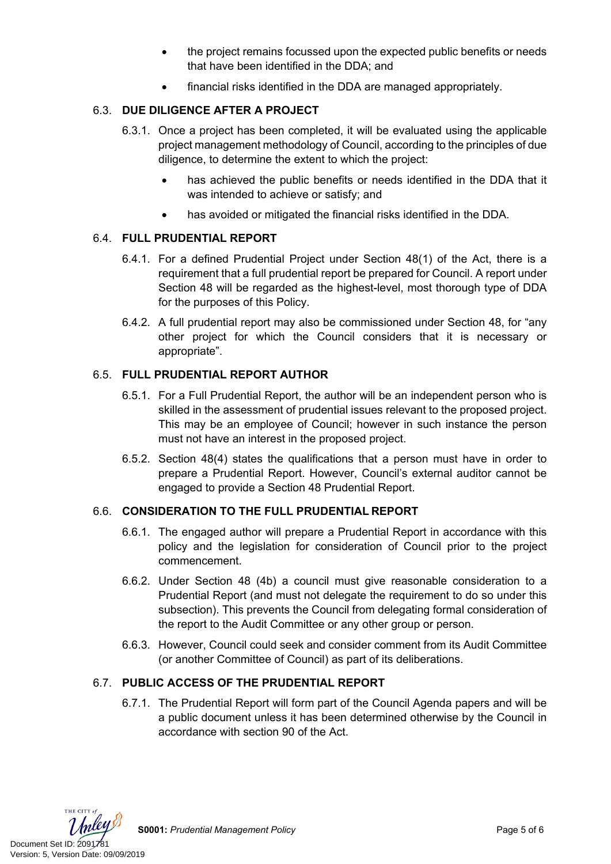- the project remains focussed upon the expected public benefits or needs that have been identified in the DDA; and
- financial risks identified in the DDA are managed appropriately.

## 6.3. **DUE DILIGENCE AFTER A PROJECT**

- 6.3.1. Once a project has been completed, it will be evaluated using the applicable project management methodology of Council, according to the principles of due diligence, to determine the extent to which the project:
	- has achieved the public benefits or needs identified in the DDA that it was intended to achieve or satisfy; and
	- has avoided or mitigated the financial risks identified in the DDA.

### 6.4. **FULL PRUDENTIAL REPORT**

- 6.4.1. For a defined Prudential Project under Section 48(1) of the Act, there is a requirement that a full prudential report be prepared for Council. A report under Section 48 will be regarded as the highest-level, most thorough type of DDA for the purposes of this Policy.
- 6.4.2. A full prudential report may also be commissioned under Section 48, for "any other project for which the Council considers that it is necessary or appropriate".

# 6.5. **FULL PRUDENTIAL REPORT AUTHOR**

- 6.5.1. For a Full Prudential Report, the author will be an independent person who is skilled in the assessment of prudential issues relevant to the proposed project. This may be an employee of Council; however in such instance the person must not have an interest in the proposed project.
- 6.5.2. Section 48(4) states the qualifications that a person must have in order to prepare a Prudential Report. However, Council's external auditor cannot be engaged to provide a Section 48 Prudential Report.

# 6.6. **CONSIDERATION TO THE FULL PRUDENTIAL REPORT**

- 6.6.1. The engaged author will prepare a Prudential Report in accordance with this policy and the legislation for consideration of Council prior to the project commencement.
- 6.6.2. Under Section 48 (4b) a council must give reasonable consideration to a Prudential Report (and must not delegate the requirement to do so under this subsection). This prevents the Council from delegating formal consideration of the report to the Audit Committee or any other group or person.
- 6.6.3. However, Council could seek and consider comment from its Audit Committee (or another Committee of Council) as part of its deliberations.

# 6.7. **PUBLIC ACCESS OF THE PRUDENTIAL REPORT**

6.7.1. The Prudential Report will form part of the Council Agenda papers and will be a public document unless it has been determined otherwise by the Council in accordance with section 90 of the Act.